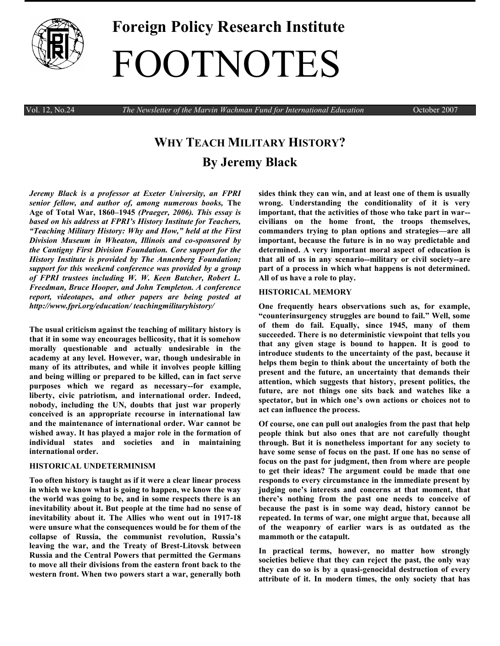

# **Foreign Policy Research Institute** FOOTNOTES

Vol. 12, No.24 *The Newsletter of the Marvin Wachman Fund for International Education* October 2007

## **WHY TEACH MILITARY HISTORY? By Jeremy Black**

*Jeremy Black is a professor at Exeter University, an FPRI senior fellow, and author of, among numerous books,* **The Age of Total War, 1860–1945** *(Praeger, 2006). This essay is based on his address at FPRI's History Institute for Teachers, "Teaching Military History: Why and How," held at the First Division Museum in Wheaton, Illinois and co-sponsored by the Cantigny First Division Foundation. Core support for the History Institute is provided by The Annenberg Foundation; support for this weekend conference was provided by a group of FPRI trustees including W. W. Keen Butcher, Robert L. Freedman, Bruce Hooper, and John Templeton. A conference report, videotapes, and other papers are being posted at http://www.fpri.org/education/ teachingmilitaryhistory/*

**The usual criticism against the teaching of military history is that it in some way encourages bellicosity, that it is somehow morally questionable and actually undesirable in the academy at any level. However, war, though undesirable in many of its attributes, and while it involves people killing and being willing or prepared to be killed, can in fact serve purposes which we regard as necessary--for example, liberty, civic patriotism, and international order. Indeed, nobody, including the UN, doubts that just war properly conceived is an appropriate recourse in international law and the maintenance of international order. War cannot be wished away. It has played a major role in the formation of individual states and societies and in maintaining international order.** 

#### **HISTORICAL UNDETERMINISM**

**Too often history is taught as if it were a clear linear process in which we know what is going to happen, we know the way the world was going to be, and in some respects there is an inevitability about it. But people at the time had no sense of inevitability about it. The Allies who went out in 1917-18 were unsure what the consequences would be for them of the collapse of Russia, the communist revolution, Russia's leaving the war, and the Treaty of Brest-Litovsk between Russia and the Central Powers that permitted the Germans to move all their divisions from the eastern front back to the western front. When two powers start a war, generally both** 

**sides think they can win, and at least one of them is usually wrong. Understanding the conditionality of it is very important, that the activities of those who take part in war- civilians on the home front, the troops themselves, commanders trying to plan options and strategies—are all important, because the future is in no way predictable and determined. A very important moral aspect of education is that all of us in any scenario--military or civil society--are part of a process in which what happens is not determined. All of us have a role to play.**

#### **HISTORICAL MEMORY**

**One frequently hears observations such as, for example, ―counterinsurgency struggles are bound to fail.‖ Well, some of them do fail. Equally, since 1945, many of them succeeded. There is no deterministic viewpoint that tells you that any given stage is bound to happen. It is good to introduce students to the uncertainty of the past, because it helps them begin to think about the uncertainty of both the present and the future, an uncertainty that demands their attention, which suggests that history, present politics, the future, are not things one sits back and watches like a spectator, but in which one's own actions or choices not to act can influence the process.**

**Of course, one can pull out analogies from the past that help people think but also ones that are not carefully thought through. But it is nonetheless important for any society to have some sense of focus on the past. If one has no sense of focus on the past for judgment, then from where are people to get their ideas? The argument could be made that one responds to every circumstance in the immediate present by judging one's interests and concerns at that moment, that there's nothing from the past one needs to conceive of because the past is in some way dead, history cannot be repeated. In terms of war, one might argue that, because all of the weaponry of earlier wars is as outdated as the mammoth or the catapult.**

**In practical terms, however, no matter how strongly societies believe that they can reject the past, the only way they can do so is by a quasi-genocidal destruction of every attribute of it. In modern times, the only society that has**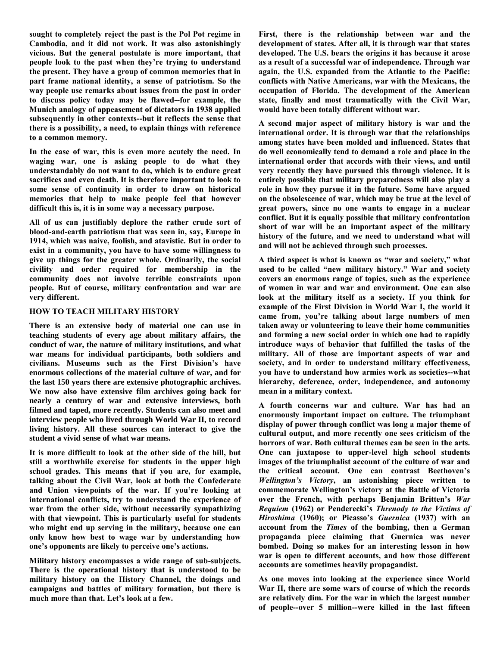**sought to completely reject the past is the Pol Pot regime in Cambodia, and it did not work. It was also astonishingly vicious. But the general postulate is more important, that people look to the past when they're trying to understand the present. They have a group of common memories that in part frame national identity, a sense of patriotism. So the way people use remarks about issues from the past in order to discuss policy today may be flawed--for example, the Munich analogy of appeasement of dictators in 1938 applied subsequently in other contexts--but it reflects the sense that there is a possibility, a need, to explain things with reference to a common memory.**

**In the case of war, this is even more acutely the need. In waging war, one is asking people to do what they understandably do not want to do, which is to endure great sacrifices and even death. It is therefore important to look to some sense of continuity in order to draw on historical memories that help to make people feel that however difficult this is, it is in some way a necessary purpose.**

**All of us can justifiably deplore the rather crude sort of blood-and-earth patriotism that was seen in, say, Europe in 1914, which was naive, foolish, and atavistic. But in order to exist in a community, you have to have some willingness to give up things for the greater whole. Ordinarily, the social civility and order required for membership in the community does not involve terrible constraints upon people. But of course, military confrontation and war are very different.**

### **HOW TO TEACH MILITARY HISTORY**

**There is an extensive body of material one can use in teaching students of every age about military affairs, the conduct of war, the nature of military institutions, and what war means for individual participants, both soldiers and civilians. Museums such as the First Division's have enormous collections of the material culture of war, and for the last 150 years there are extensive photographic archives. We now also have extensive film archives going back for nearly a century of war and extensive interviews, both filmed and taped, more recently. Students can also meet and interview people who lived through World War II, to record living history. All these sources can interact to give the student a vivid sense of what war means.** 

**It is more difficult to look at the other side of the hill, but still a worthwhile exercise for students in the upper high school grades. This means that if you are, for example, talking about the Civil War, look at both the Confederate and Union viewpoints of the war. If you're looking at international conflicts, try to understand the experience of war from the other side, without necessarily sympathizing with that viewpoint. This is particularly useful for students who might end up serving in the military, because one can only know how best to wage war by understanding how one's opponents are likely to perceive one's actions.** 

**Military history encompasses a wide range of sub-subjects. There is the operational history that is understood to be military history on the History Channel, the doings and campaigns and battles of military formation, but there is much more than that. Let's look at a few.**

**First, there is the relationship between war and the development of states. After all, it is through war that states developed. The U.S. bears the origins it has because it arose as a result of a successful war of independence. Through war again, the U.S. expanded from the Atlantic to the Pacific: conflicts with Native Americans, war with the Mexicans, the occupation of Florida. The development of the American state, finally and most traumatically with the Civil War, would have been totally different without war.** 

**A second major aspect of military history is war and the international order. It is through war that the relationships among states have been molded and influenced. States that do well economically tend to demand a role and place in the international order that accords with their views, and until very recently they have pursued this through violence. It is entirely possible that military preparedness will also play a role in how they pursue it in the future. Some have argued on the obsolescence of war, which may be true at the level of great powers, since no one wants to engage in a nuclear conflict. But it is equally possible that military confrontation short of war will be an important aspect of the military history of the future, and we need to understand what will and will not be achieved through such processes.**

**A third aspect is what is known as ―war and society,‖ what used to be called ―new military history.‖ War and society covers an enormous range of topics, such as the experience of women in war and war and environment. One can also look at the military itself as a society. If you think for example of the First Division in World War I, the world it came from, you're talking about large numbers of men taken away or volunteering to leave their home communities and forming a new social order in which one had to rapidly introduce ways of behavior that fulfilled the tasks of the military. All of those are important aspects of war and society, and in order to understand military effectiveness, you have to understand how armies work as societies--what hierarchy, deference, order, independence, and autonomy mean in a military context.** 

**A fourth concerns war and culture. War has had an enormously important impact on culture. The triumphant display of power through conflict was long a major theme of cultural output, and more recently one sees criticism of the horrors of war. Both cultural themes can be seen in the arts. One can juxtapose to upper-level high school students images of the triumphalist account of the culture of war and the critical account. One can contrast Beethoven's**  *Wellington's Victory***, an astonishing piece written to commemorate Wellington's victory at the Battle of Victoria over the French, with perhaps Benjamin Britten's** *War Requiem* **(1962) or Penderecki's** *Threnody to the Victims of Hiroshima* **(1960); or Picasso's** *Guernica* **(1937) with an account from the** *Times* **of the bombing, then a German propaganda piece claiming that Guernica was never bombed. Doing so makes for an interesting lesson in how war is open to different accounts, and how those different accounts are sometimes heavily propagandist.** 

**As one moves into looking at the experience since World War II, there are some wars of course of which the records are relatively dim. For the war in which the largest number of people--over 5 million--were killed in the last fifteen**